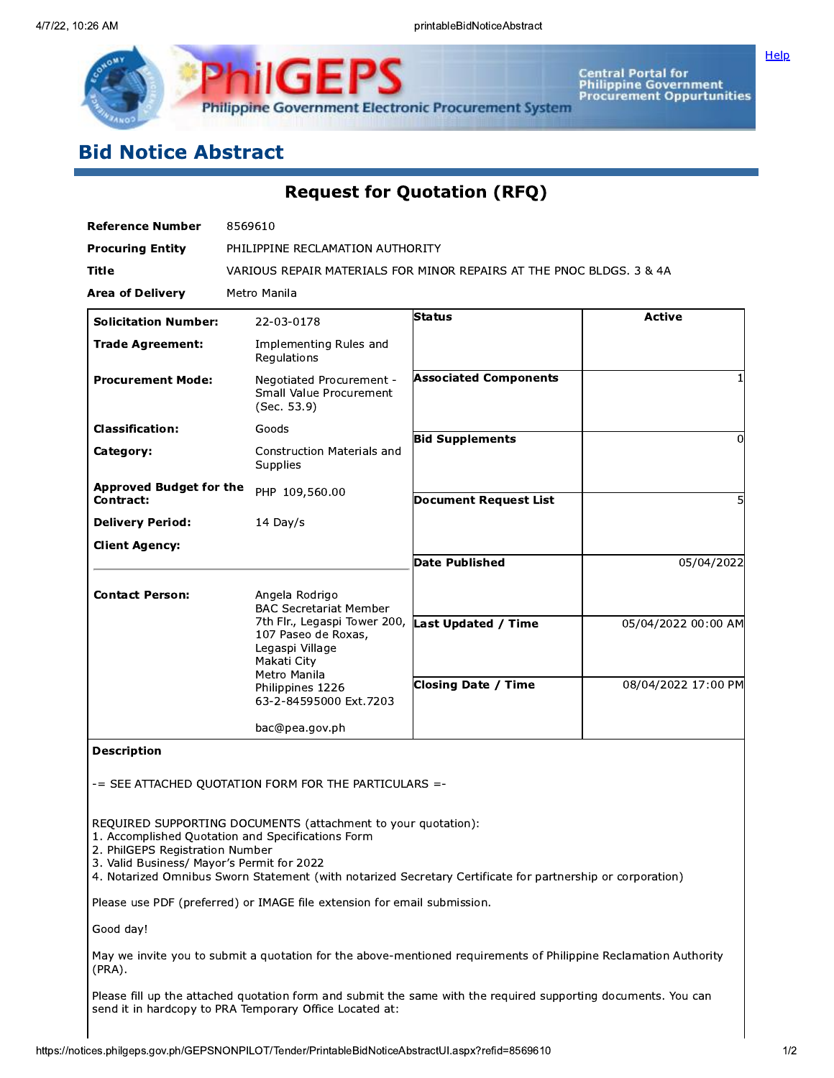

# **Bid Notice Abstract**

**Request for Quotation (RFQ)** 

| <b>Reference Number</b>                                                       | 8569610                                                                                                                                                                                                                          |                              |                     |  |  |  |  |
|-------------------------------------------------------------------------------|----------------------------------------------------------------------------------------------------------------------------------------------------------------------------------------------------------------------------------|------------------------------|---------------------|--|--|--|--|
| <b>Procuring Entity</b>                                                       | PHILIPPINE RECLAMATION AUTHORITY                                                                                                                                                                                                 |                              |                     |  |  |  |  |
| Title                                                                         | VARIOUS REPAIR MATERIALS FOR MINOR REPAIRS AT THE PNOC BLDGS. 3 & 4A                                                                                                                                                             |                              |                     |  |  |  |  |
| <b>Area of Delivery</b>                                                       | Metro Manila                                                                                                                                                                                                                     |                              |                     |  |  |  |  |
| <b>Solicitation Number:</b>                                                   | 22-03-0178                                                                                                                                                                                                                       | Status                       | <b>Active</b>       |  |  |  |  |
| <b>Trade Agreement:</b>                                                       | Implementing Rules and<br>Regulations                                                                                                                                                                                            |                              |                     |  |  |  |  |
| <b>Procurement Mode:</b>                                                      | Negotiated Procurement -<br>Small Value Procurement<br>(Sec. 53.9)                                                                                                                                                               | <b>Associated Components</b> |                     |  |  |  |  |
| <b>Classification:</b>                                                        | Goods                                                                                                                                                                                                                            | <b>Bid Supplements</b>       | $\Omega$            |  |  |  |  |
| Category:                                                                     | <b>Construction Materials and</b><br>Supplies                                                                                                                                                                                    |                              |                     |  |  |  |  |
| <b>Approved Budget for the</b><br><b>Contract:</b>                            | PHP 109,560.00                                                                                                                                                                                                                   | <b>Document Request List</b> |                     |  |  |  |  |
| <b>Delivery Period:</b>                                                       | 14 Day/s                                                                                                                                                                                                                         |                              |                     |  |  |  |  |
| <b>Client Agency:</b>                                                         |                                                                                                                                                                                                                                  |                              |                     |  |  |  |  |
|                                                                               |                                                                                                                                                                                                                                  | <b>Date Published</b>        | 05/04/2022          |  |  |  |  |
| <b>Contact Person:</b>                                                        | Angela Rodrigo<br><b>BAC Secretariat Member</b>                                                                                                                                                                                  |                              |                     |  |  |  |  |
|                                                                               | 7th Flr., Legaspi Tower 200,<br>107 Paseo de Roxas,<br>Legaspi Village<br>Makati City                                                                                                                                            | <b>Last Updated / Time</b>   | 05/04/2022 00:00 AM |  |  |  |  |
|                                                                               | Metro Manila<br>Philippines 1226<br>63-2-84595000 Ext.7203                                                                                                                                                                       | <b>Closing Date / Time</b>   | 08/04/2022 17:00 PM |  |  |  |  |
|                                                                               | bac@pea.gov.ph                                                                                                                                                                                                                   |                              |                     |  |  |  |  |
| <b>Description</b>                                                            |                                                                                                                                                                                                                                  |                              |                     |  |  |  |  |
|                                                                               | -= SEE ATTACHED QUOTATION FORM FOR THE PARTICULARS =-                                                                                                                                                                            |                              |                     |  |  |  |  |
| 2. PhilGEPS Registration Number<br>3. Valid Business/ Mayor's Permit for 2022 | REQUIRED SUPPORTING DOCUMENTS (attachment to your quotation):<br>1. Accomplished Quotation and Specifications Form<br>4. Notarized Omnibus Sworn Statement (with notarized Secretary Certificate for partnership or corporation) |                              |                     |  |  |  |  |
| Please use PDF (preferred) or IMAGE file extension for email submission.      |                                                                                                                                                                                                                                  |                              |                     |  |  |  |  |
| Good day!                                                                     |                                                                                                                                                                                                                                  |                              |                     |  |  |  |  |
|                                                                               | May we invite you to submit a quotation for the above-mentioned requirements of Philippine Reclamation Authority                                                                                                                 |                              |                     |  |  |  |  |

Ч ч١ upp  $(PRA)$ .

Please fill up the attached quotation form and submit the same with the required supporting documents. You can send it in hardcopy to PRA Temporary Office Located at:

Help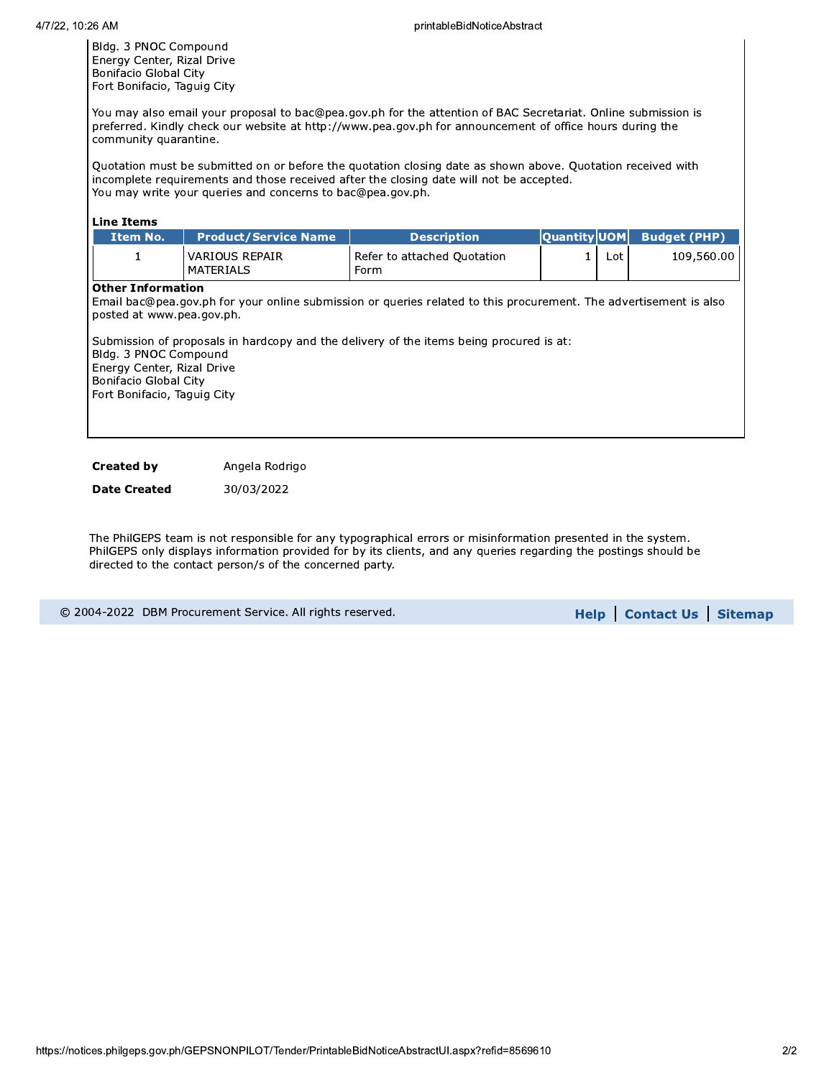Bldg. 3 PNOC Compound Energy Center, Rizal Drive Bonifacio Global City Fort Bonifacio, Taguig City

You may also email your proposal to bac@pea.gov.ph for the attention of BAC Secretariat. Online submission is preferred. Kindly check our website at http://www.pea.gov.ph for announcement of office hours during the community quarantine.

Quotation must be submitted on or before the quotation closing date as shown above. Quotation received with incomplete requirements and those received after the closing date will not be accepted. You may write your queries and concerns to bac@pea.gov.ph.

| <b>Line Items</b>                                                                                                                                                    |                                           |                                                                                                                                                                                                              |                     |     |                     |  |  |  |
|----------------------------------------------------------------------------------------------------------------------------------------------------------------------|-------------------------------------------|--------------------------------------------------------------------------------------------------------------------------------------------------------------------------------------------------------------|---------------------|-----|---------------------|--|--|--|
| Item No.                                                                                                                                                             | <b>Product/Service Name</b>               | <b>Description</b>                                                                                                                                                                                           | <b>Quantity UOM</b> |     | <b>Budget (PHP)</b> |  |  |  |
| 1                                                                                                                                                                    | <b>VARIOUS REPAIR</b><br><b>MATERIALS</b> | Refer to attached Quotation<br>Form                                                                                                                                                                          |                     | Lot | 109,560.00          |  |  |  |
| <b>Other Information</b><br>posted at www.pea.gov.ph.<br>Bldg. 3 PNOC Compound<br>Energy Center, Rizal Drive<br>Bonifacio Global City<br>Fort Bonifacio, Taguig City |                                           | Email bac@pea.gov.ph for your online submission or queries related to this procurement. The advertisement is also<br>Submission of proposals in hardcopy and the delivery of the items being procured is at: |                     |     |                     |  |  |  |

**Created by** Angela Rodrigo

**Date Created** 30/03/2022

The PhilGEPS team is not responsible for any typographical errors or misinformation presented in the system. PhilGEPS only displays information provided for by its clients, and any queries regarding the postings should be directed to the contact person/s of the concerned party.

|  | © 2004-2022 DBM Procurement Service. All rights reserved. |  |  |
|--|-----------------------------------------------------------|--|--|
|  |                                                           |  |  |

Help | Contact Us | Sitemap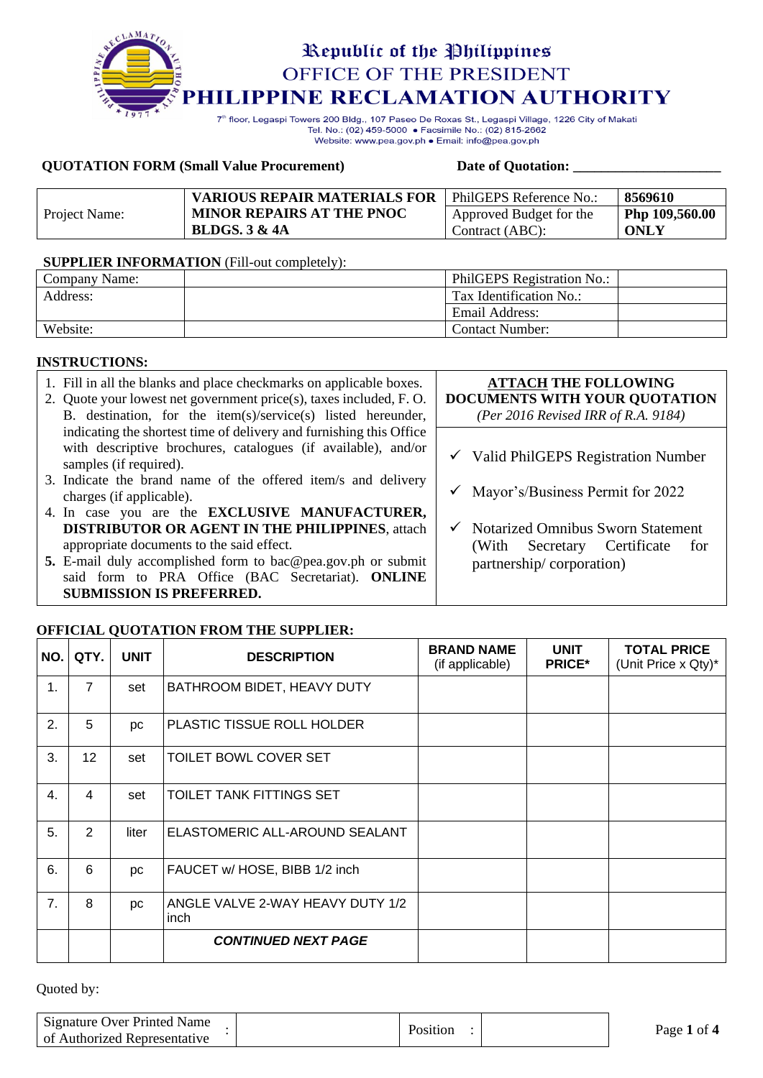

Tel. No.: (02) 459-5000 · Facsimile No.: (02) 815-2662 Website: www.pea.gov.ph . Email: info@pea.gov.ph

#### **QUOTATION FORM (Small Value Procurement) Date of Quotation: \_\_\_\_\_\_\_\_\_\_\_\_\_\_\_\_\_\_\_\_\_**

|               | <b>VARIOUS REPAIR MATERIALS FOR</b> | l PhilGEPS Reference No.: | 8569610        |
|---------------|-------------------------------------|---------------------------|----------------|
| Project Name: | <b>MINOR REPAIRS AT THE PNOC</b>    | Approved Budget for the   | Php 109,560.00 |
|               | <b>BLDGS. 3 &amp; 4A</b>            | Contract (ABC):           | ONLY           |

#### **SUPPLIER INFORMATION** (Fill-out completely):

| Company Name: | PhilGEPS Registration No.: |  |
|---------------|----------------------------|--|
| Address:      | Tax Identification No.:    |  |
|               | Email Address:             |  |
| Website:      | <b>Contact Number:</b>     |  |

#### **INSTRUCTIONS:**

| 1. Fill in all the blanks and place checkmarks on applicable boxes.<br>2. Quote your lowest net government price(s), taxes included, F.O.<br>B. destination, for the item(s)/service(s) listed hereunder, | <b>ATTACH THE FOLLOWING</b><br>DOCUMENTS WITH YOUR QUOTATION<br>(Per 2016 Revised IRR of R.A. 9184) |
|-----------------------------------------------------------------------------------------------------------------------------------------------------------------------------------------------------------|-----------------------------------------------------------------------------------------------------|
| indicating the shortest time of delivery and furnishing this Office<br>with descriptive brochures, catalogues (if available), and/or<br>samples (if required).                                            | $\checkmark$ Valid PhilGEPS Registration Number                                                     |
| 3. Indicate the brand name of the offered item/s and delivery<br>charges (if applicable).                                                                                                                 | Mayor's/Business Permit for 2022                                                                    |
| 4. In case you are the <b>EXCLUSIVE MANUFACTURER</b> ,<br><b>DISTRIBUTOR OR AGENT IN THE PHILIPPINES, attach</b><br>appropriate documents to the said effect.                                             | $\checkmark$ Notarized Omnibus Sworn Statement<br>Certificate<br>(With Secretary<br>for             |
| 5. E-mail duly accomplished form to bac@pea.gov.ph or submit<br>said form to PRA Office (BAC Secretariat). ONLINE<br><b>SUBMISSION IS PREFERRED.</b>                                                      | partnership/corporation)                                                                            |

### **OFFICIAL QUOTATION FROM THE SUPPLIER:**

| NO.            | QTY.            | <b>UNIT</b> | <b>DESCRIPTION</b>                       | <b>BRAND NAME</b><br>(if applicable) | <b>UNIT</b><br><b>PRICE*</b> | <b>TOTAL PRICE</b><br>(Unit Price x Qty)* |
|----------------|-----------------|-------------|------------------------------------------|--------------------------------------|------------------------------|-------------------------------------------|
| $\mathbf{1}$ . | $\overline{7}$  | set         | BATHROOM BIDET, HEAVY DUTY               |                                      |                              |                                           |
| 2.             | 5               | рc          | PLASTIC TISSUE ROLL HOLDER               |                                      |                              |                                           |
| 3.             | 12 <sub>2</sub> | set         | TOILET BOWL COVER SET                    |                                      |                              |                                           |
| 4.             | 4               | set         | TOILET TANK FITTINGS SET                 |                                      |                              |                                           |
| 5.             | $\overline{2}$  | liter       | ELASTOMERIC ALL-AROUND SEALANT           |                                      |                              |                                           |
| 6.             | 6               | <b>DC</b>   | FAUCET w/ HOSE, BIBB 1/2 inch            |                                      |                              |                                           |
| 7.             | 8               | рc          | ANGLE VALVE 2-WAY HEAVY DUTY 1/2<br>inch |                                      |                              |                                           |
|                |                 |             | <b>CONTINUED NEXT PAGE</b>               |                                      |                              |                                           |

| Signature Over Printed Name<br>of Authorized Representative | Position | Page 1 of 4 |
|-------------------------------------------------------------|----------|-------------|
|                                                             |          |             |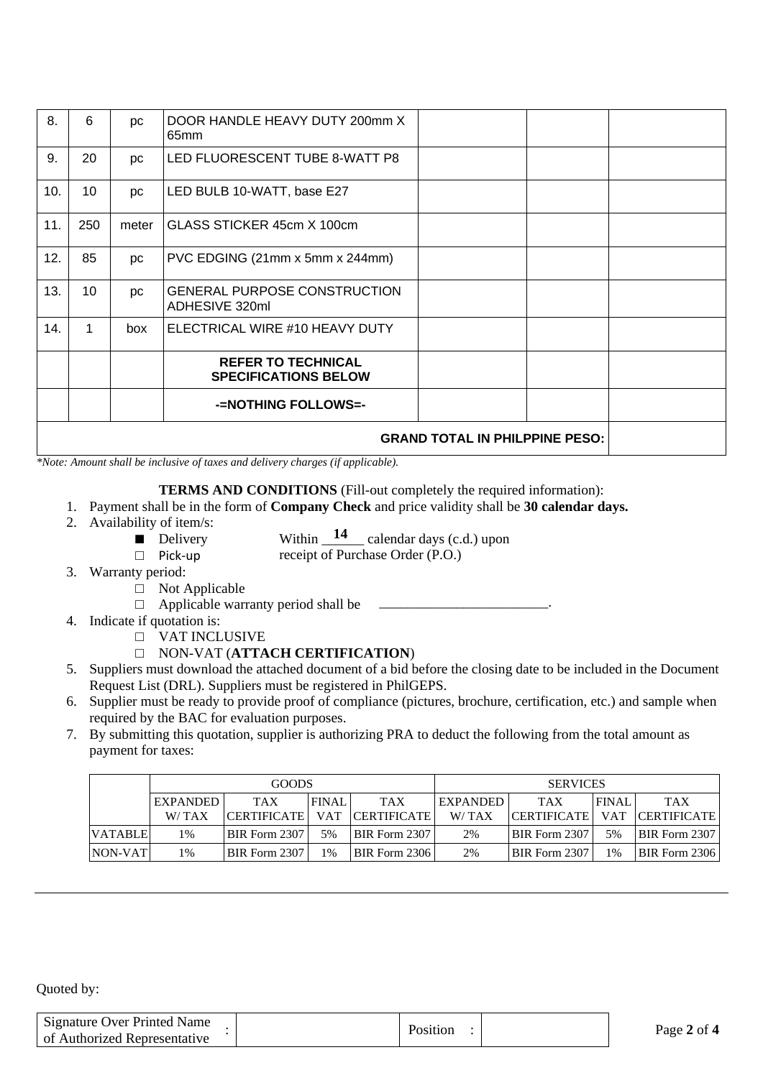| 8.  | 6   | рc        | DOOR HANDLE HEAVY DUTY 200mm X<br>65 <sub>mm</sub>       |  |  |
|-----|-----|-----------|----------------------------------------------------------|--|--|
| 9.  | 20  | рc        | LED FLUORESCENT TUBE 8-WATT P8                           |  |  |
| 10. | 10  | рc        | LED BULB 10-WATT, base E27                               |  |  |
| 11. | 250 | meter     | GLASS STICKER 45cm X 100cm                               |  |  |
| 12. | 85  | рc        | PVC EDGING (21mm x 5mm x 244mm)                          |  |  |
| 13. | 10  | <b>DC</b> | <b>GENERAL PURPOSE CONSTRUCTION</b><br>ADHESIVE 320ml    |  |  |
| 14. | 1   | box       | ELECTRICAL WIRE #10 HEAVY DUTY                           |  |  |
|     |     |           | <b>REFER TO TECHNICAL</b><br><b>SPECIFICATIONS BELOW</b> |  |  |
|     |     |           | -NOTHING FOLLOWS=-                                       |  |  |
|     |     |           |                                                          |  |  |

*\*Note: Amount shall be inclusive of taxes and delivery charges (if applicable).*

#### **TERMS AND CONDITIONS** (Fill-out completely the required information):

- 1. Payment shall be in the form of **Company Check** and price validity shall be **30 calendar days.**
- 2. Availability of item/s:
	- Delivery Within  $\frac{14}{2}$  calendar days (c.d.) upon
	- □ Pick-up receipt of Purchase Order (P.O.)
- 3. Warranty period:
	- □ Not Applicable
	- $\Box$  Applicable warranty period shall be
- 4. Indicate if quotation is:
	- □ VAT INCLUSIVE
	- □ NON-VAT (**ATTACH CERTIFICATION**)
- 5. Suppliers must download the attached document of a bid before the closing date to be included in the Document Request List (DRL). Suppliers must be registered in PhilGEPS.
- 6. Supplier must be ready to provide proof of compliance (pictures, brochure, certification, etc.) and sample when required by the BAC for evaluation purposes.
- 7. By submitting this quotation, supplier is authorizing PRA to deduct the following from the total amount as payment for taxes:

|                | <b>GOODS</b>    |                      |              |                    | <b>SERVICES</b> |                      |              |                        |
|----------------|-----------------|----------------------|--------------|--------------------|-----------------|----------------------|--------------|------------------------|
|                | <b>EXPANDED</b> | <b>TAX</b>           | <b>FINAL</b> | <b>TAX</b>         | <b>EXPANDED</b> | <b>TAX</b>           | <b>FINAL</b> | <b>TAX</b>             |
|                | W/TAX           | <b>CERTIFICATE</b>   | <b>VAT</b>   | <b>CERTIFICATE</b> | W/TAX           | <b>CERTIFICATE</b>   |              | <b>VAT CERTIFICATE</b> |
| <b>VATABLE</b> | 1%              | <b>BIR</b> Form 2307 | 5%           | BIR Form 2307      | 2%              | BIR Form 2307        | 5%           | <b>BIR Form 2307</b>   |
| NON-VAT        | 1%              | <b>BIR Form 2307</b> | $1\%$        | BIR Form 2306      | 2%              | <b>BIR Form 2307</b> | 1%           | <b>BIR Form 2306</b>   |

| Signature Over Printed Name<br>of Authorized Representative | Position | Page 2 of 4 |
|-------------------------------------------------------------|----------|-------------|
|                                                             |          |             |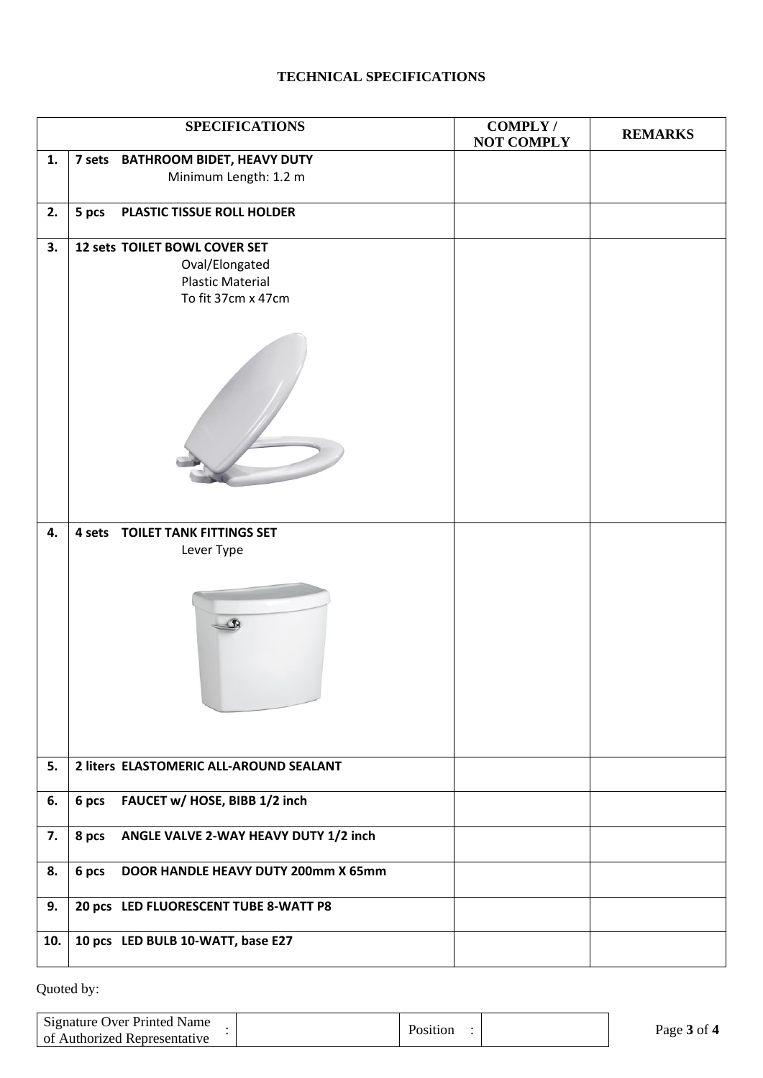## **TECHNICAL SPECIFICATIONS**

|     | <b>SPECIFICATIONS</b>                        | <b>COMPLY/</b><br><b>NOT COMPLY</b> | <b>REMARKS</b> |
|-----|----------------------------------------------|-------------------------------------|----------------|
| 1.  | 7 sets BATHROOM BIDET, HEAVY DUTY            |                                     |                |
|     | Minimum Length: 1.2 m                        |                                     |                |
|     |                                              |                                     |                |
| 2.  | 5 pcs<br>PLASTIC TISSUE ROLL HOLDER          |                                     |                |
|     |                                              |                                     |                |
| 3.  | 12 sets TOILET BOWL COVER SET                |                                     |                |
|     | Oval/Elongated                               |                                     |                |
|     | <b>Plastic Material</b>                      |                                     |                |
|     | To fit 37cm x 47cm                           |                                     |                |
|     |                                              |                                     |                |
|     |                                              |                                     |                |
| 4.  | <b>4 sets TOILET TANK FITTINGS SET</b>       |                                     |                |
|     | Lever Type                                   |                                     |                |
|     |                                              |                                     |                |
|     |                                              |                                     |                |
| 5.  | 2 liters ELASTOMERIC ALL-AROUND SEALANT      |                                     |                |
| 6.  | FAUCET w/ HOSE, BIBB 1/2 inch<br>6 pcs       |                                     |                |
| 7.  | 8 pcs ANGLE VALVE 2-WAY HEAVY DUTY 1/2 inch  |                                     |                |
| 8.  | 6 pcs<br>DOOR HANDLE HEAVY DUTY 200mm X 65mm |                                     |                |
| 9.  | 20 pcs LED FLUORESCENT TUBE 8-WATT P8        |                                     |                |
| 10. | 10 pcs LED BULB 10-WATT, base E27            |                                     |                |

| Signature Over Printed Name  | Position | Page 3 of 4 |
|------------------------------|----------|-------------|
| of Authorized Representative |          |             |